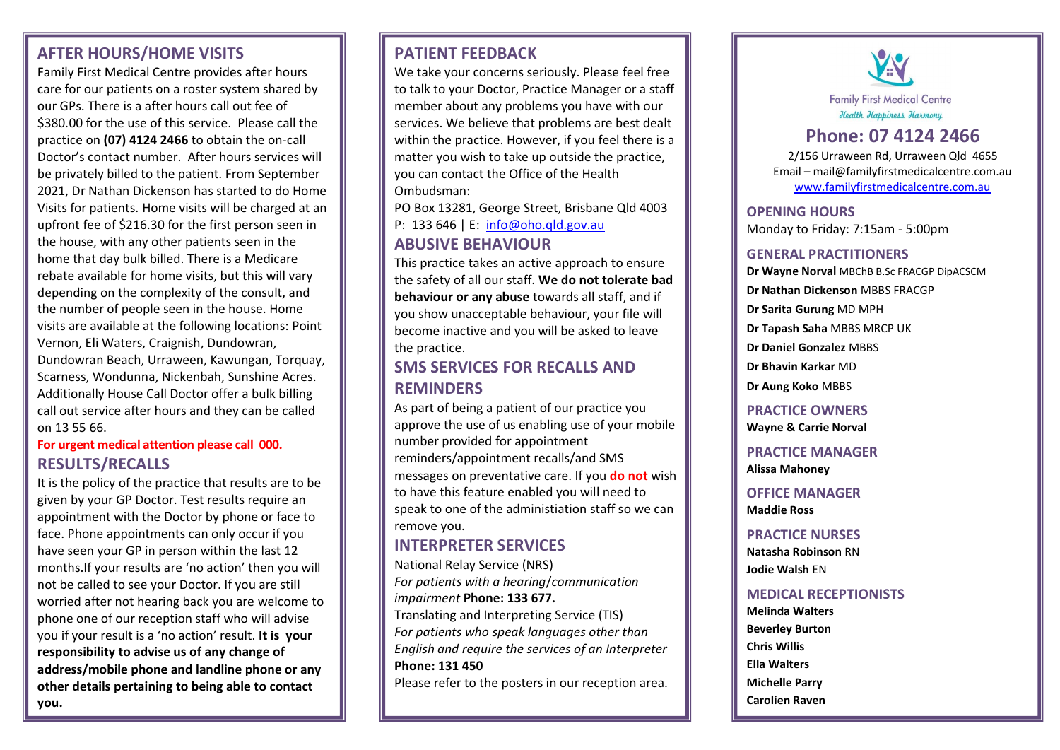### **AFTER HOURS/HOME VISITS**

Family First Medical Centre provides after hours care for our patients on a roster system shared by our GPs. There is a after hours call out fee of \$380.00 for the use of this service. Please call the practice on **(07) 4124 2466** to obtain the on-call Doctor's contact number. After hours services will be privately billed to the patient. From September 2021, Dr Nathan Dickenson has started to do Home Visits for patients. Home visits will be charged at an upfront fee of \$216.30 for the first person seen in the house, with any other patients seen in the home that day bulk billed. There is a Medicare rebate available for home visits, but this will vary depending on the complexity of the consult, and the number of people seen in the house. Home visits are available at the following locations: Point Vernon, Eli Waters, Craignish, Dundowran, Dundowran Beach, Urraween, Kawungan, Torquay, Scarness, Wondunna, Nickenbah, Sunshine Acres. Additionally House Call Doctor offer a bulk billing call out service after hours and they can be called on 13 55 66.

#### **For urgent medical attention please call 000. RESULTS/RECALLS**

It is the policy of the practice that results are to be given by your GP Doctor. Test results require an appointment with the Doctor by phone or face to face. Phone appointments can only occur if you have seen your GP in person within the last 12 months.If your results are 'no action' then you will not be called to see your Doctor. If you are still worried after not hearing back you are welcome to phone one of our reception staff who will advise you if your result is a 'no action' result. **It is your responsibility to advise us of any change of address/mobile phone and landline phone or any other details pertaining to being able to contact you.**

#### **PATIENT FEEDBACK**

We take your concerns seriously. Please feel free to talk to your Doctor, Practice Manager or a staff member about any problems you have with our services. We believe that problems are best dealt within the practice. However, if you feel there is a matter you wish to take up outside the practice, you can contact the Office of the Health Ombudsman:

PO Box 13281, George Street, Brisbane Qld 4003

P: 133 646 | E: [info@oho.qld.gov.au](mailto:info@oho.qld.gov.au)

### **ABUSIVE BEHAVIOUR**

This practice takes an active approach to ensure the safety of all our staff. **We do not tolerate bad behaviour or any abuse** towards all staff, and if you show unacceptable behaviour, your file will become inactive and you will be asked to leave the practice.

### **SMS SERVICES FOR RECALLS AND REMINDERS**

As part of being a patient of our practice you approve the use of us enabling use of your mobile number provided for appointment reminders/appointment recalls/and SMS messages on preventative care. If you **do not** wish to have this feature enabled you will need to speak to one of the administiation staff so we can remove you.

### **INTERPRETER SERVICES**

National Relay Service (NRS) *For patients with a hearing*/*communication impairment* **Phone: 133 677.**  Translating and Interpreting Service (TIS) *For patients who speak languages other than English and require the services of an Interpreter*  **Phone: 131 450**

Please refer to the posters in our reception area.



## **Phone: 07 4124 2466**

2/156 Urraween Rd, Urraween Qld 4655 Email – mail@familyfirstmedicalcentre.com.au [www.familyfirstmedicalcentre.com.au](http://www.familyfirstmedicalcentre.com.au/)

#### **OPENING HOURS**

Monday to Friday: 7:15am - 5:00pm

#### **GENERAL PRACTITIONERS**

**Dr Wayne Norval** MBChB B.Sc FRACGP DipACSCM

**Dr Nathan Dickenson** MBBS FRACGP

**Dr Sarita Gurung** MD MPH

**Dr Tapash Saha** MBBS MRCP UK

**Dr Daniel Gonzalez** MBBS

**Dr Bhavin Karkar** MD

**Dr Aung Koko** MBBS

**PRACTICE OWNERS Wayne & Carrie Norval**

**PRACTICE MANAGER Alissa Mahoney** 

**OFFICE MANAGER Maddie Ross**

**PRACTICE NURSES Natasha Robinson** RN **Jodie Walsh** EN

#### **MEDICAL RECEPTIONISTS**

**Melinda Walters Beverley Burton Chris Willis Ella Walters Michelle Parry Carolien Raven**